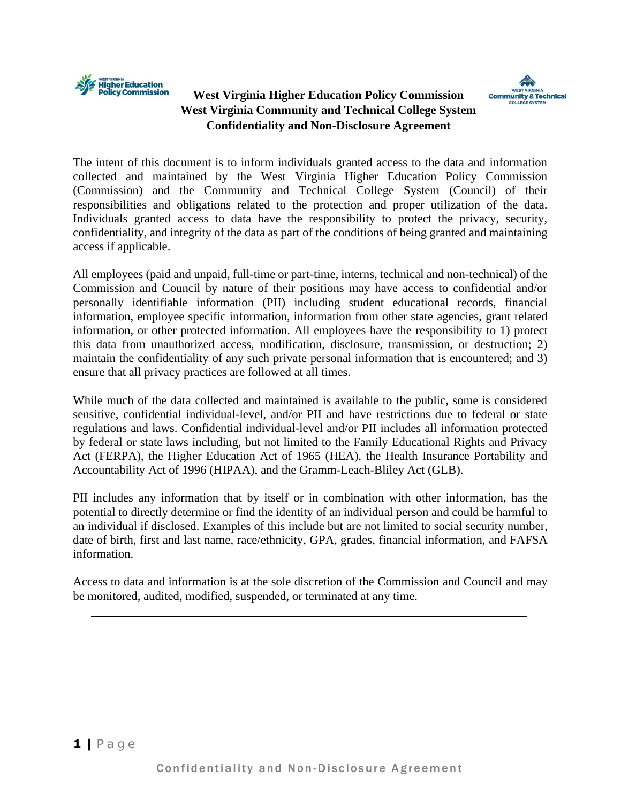

## **West Virginia Higher Education Policy Commission West Virginia Community and Technical College System Confidentiality and Non-Disclosure Agreement**



The intent of this document is to inform individuals granted access to the data and information collected and maintained by the West Virginia Higher Education Policy Commission (Commission) and the Community and Technical College System (Council) of their responsibilities and obligations related to the protection and proper utilization of the data. Individuals granted access to data have the responsibility to protect the privacy, security, confidentiality, and integrity of the data as part of the conditions of being granted and maintaining access if applicable.

All employees (paid and unpaid, full-time or part-time, interns, technical and non-technical) of the Commission and Council by nature of their positions may have access to confidential and/or personally identifiable information (PII) including student educational records, financial information, employee specific information, information from other state agencies, grant related information, or other protected information. All employees have the responsibility to 1) protect this data from unauthorized access, modification, disclosure, transmission, or destruction; 2) maintain the confidentiality of any such private personal information that is encountered; and 3) ensure that all privacy practices are followed at all times.

While much of the data collected and maintained is available to the public, some is considered sensitive, confidential individual-level, and/or PII and have restrictions due to federal or state regulations and laws. Confidential individual-level and/or PII includes all information protected by federal or state laws including, but not limited to the Family Educational Rights and Privacy Act (FERPA), the Higher Education Act of 1965 (HEA), the Health Insurance Portability and Accountability Act of 1996 (HIPAA), and the Gramm-Leach-Bliley Act (GLB).

PII includes any information that by itself or in combination with other information, has the potential to directly determine or find the identity of an individual person and could be harmful to an individual if disclosed. Examples of this include but are not limited to social security number, date of birth, first and last name, race/ethnicity, GPA, grades, financial information, and FAFSA information.

Access to data and information is at the sole discretion of the Commission and Council and may be monitored, audited, modified, suspended, or terminated at any time.